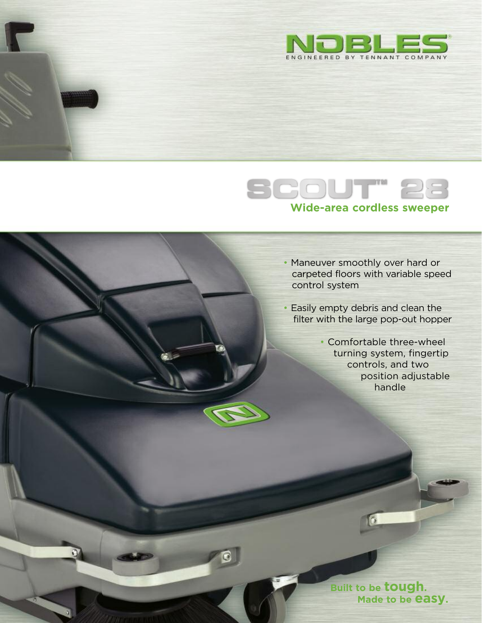



- Maneuver smoothly over hard or carpeted floors with variable speed control system
- Easily empty debris and clean the filter with the large pop-out hopper
	- Comfortable three-wheel turning system, fingertip controls, and two position adjustable handle



 $\sqrt{6}$